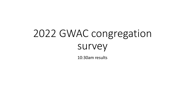# 2022 GWAC congregation survey

10:30am results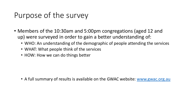## Purpose of the survey

- Members of the 10:30am and 5:00pm congregations (aged 12 and up) were surveyed in order to gain a better understanding of:
	- WHO: An understanding of the demographic of people attending the services
	- WHAT: What people think of the services
	- HOW: How we can do things better

• A full summary of results is available on the GWAC website: [www.gwac.org.au](http://www.gwac.org.au/)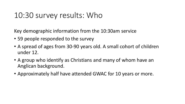## 10:30 survey results: Who

Key demographic information from the 10:30am service

- 59 people responded to the survey
- A spread of ages from 30-90 years old. A small cohort of children under 12.
- A group who identify as Christians and many of whom have an Anglican background.
- Approximately half have attended GWAC for 10 years or more.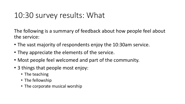## 10:30 survey results: What

The following is a summary of feedback about how people feel about the service:

- The vast majority of respondents enjoy the 10:30am service.
- They appreciate the elements of the service.
- Most people feel welcomed and part of the community.
- 3 things that people most enjoy:
	- The teaching
	- The fellowship
	- The corporate musical worship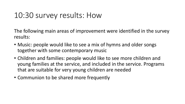## 10:30 survey results: How

The following main areas of improvement were identified in the survey results:

- Music: people would like to see a mix of hymns and older songs together with some contemporary music
- Children and families: people would like to see more children and young families at the service, and included in the service. Programs that are suitable for very young children are needed
- Communion to be shared more frequently